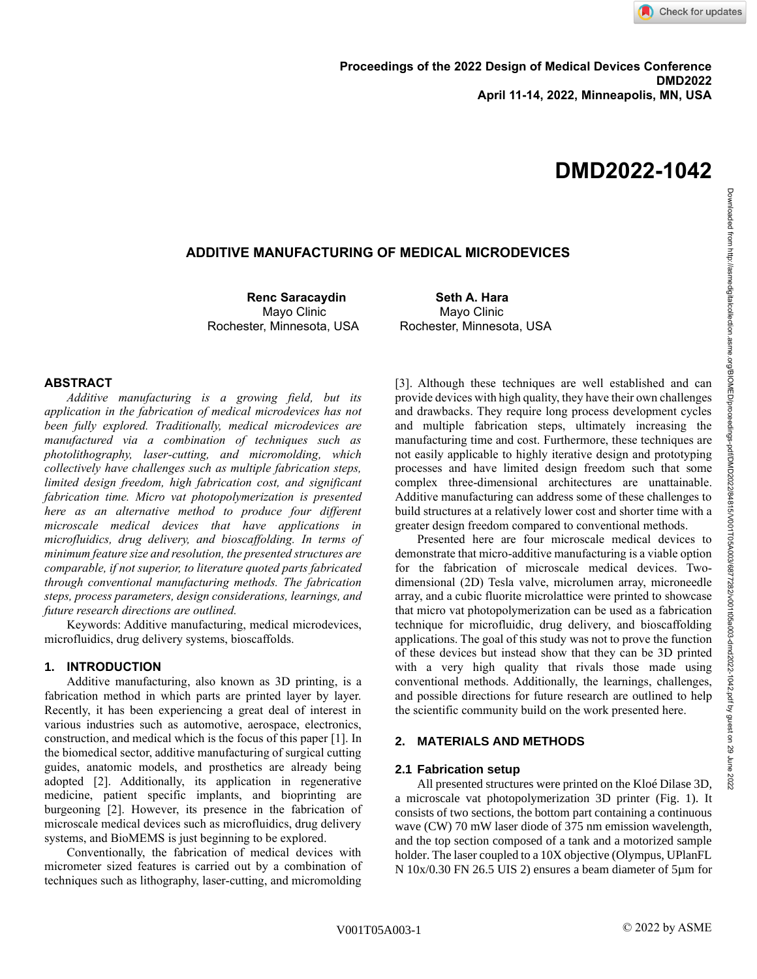## **ADDITIVE MANUFACTURING OF MEDICAL MICRODEVICES**

**Renc Saracaydin Seth A. Hara** Rochester, Minnesota, USA Rochester, Minnesota, USA

Mayo Clinic **Mayo Clinic** Mayo Clinic

### **ABSTRACT**

*Additive manufacturing is a growing field, but its application in the fabrication of medical microdevices has not been fully explored. Traditionally, medical microdevices are manufactured via a combination of techniques such as photolithography, laser-cutting, and micromolding, which collectively have challenges such as multiple fabrication steps, limited design freedom, high fabrication cost, and significant fabrication time. Micro vat photopolymerization is presented here as an alternative method to produce four different microscale medical devices that have applications in microfluidics, drug delivery, and bioscaffolding. In terms of minimum feature size and resolution, the presented structures are comparable, if not superior, to literature quoted parts fabricated through conventional manufacturing methods. The fabrication steps, process parameters, design considerations, learnings, and future research directions are outlined.*

Keywords: Additive manufacturing, medical microdevices, microfluidics, drug delivery systems, bioscaffolds.

### **1. INTRODUCTION**

Additive manufacturing, also known as 3D printing, is a fabrication method in which parts are printed layer by layer. Recently, it has been experiencing a great deal of interest in various industries such as automotive, aerospace, electronics, construction, and medical which is the focus of this paper [1]. In the biomedical sector, additive manufacturing of surgical cutting guides, anatomic models, and prosthetics are already being adopted [2]. Additionally, its application in regenerative medicine, patient specific implants, and bioprinting are burgeoning [2]. However, its presence in the fabrication of microscale medical devices such as microfluidics, drug delivery systems, and BioMEMS is just beginning to be explored.

Conventionally, the fabrication of medical devices with micrometer sized features is carried out by a combination of techniques such as lithography, laser-cutting, and micromolding [3]. Although these techniques are well established and can provide devices with high quality, they have their own challenges and drawbacks. They require long process development cycles and multiple fabrication steps, ultimately increasing the manufacturing time and cost. Furthermore, these techniques are not easily applicable to highly iterative design and prototyping processes and have limited design freedom such that some complex three-dimensional architectures are unattainable. Additive manufacturing can address some of these challenges to build structures at a relatively lower cost and shorter time with a greater design freedom compared to conventional methods.

Presented here are four microscale medical devices to demonstrate that micro-additive manufacturing is a viable option for the fabrication of microscale medical devices. Twodimensional (2D) Tesla valve, microlumen array, microneedle array, and a cubic fluorite microlattice were printed to showcase that micro vat photopolymerization can be used as a fabrication technique for microfluidic, drug delivery, and bioscaffolding applications. The goal of this study was not to prove the function of these devices but instead show that they can be 3D printed with a very high quality that rivals those made using conventional methods. Additionally, the learnings, challenges, and possible directions for future research are outlined to help the scientific community build on the work presented here.

### **2. MATERIALS AND METHODS**

#### **2.1 Fabrication setup**

All presented structures were printed on the Kloé Dilase 3D, a microscale vat photopolymerization 3D printer (Fig. 1). It consists of two sections, the bottom part containing a continuous wave (CW) 70 mW laser diode of 375 nm emission wavelength, and the top section composed of a tank and a motorized sample holder. The laser coupled to a 10X objective (Olympus, UPlanFL N 10x/0.30 FN 26.5 UIS 2) ensures a beam diameter of 5µm for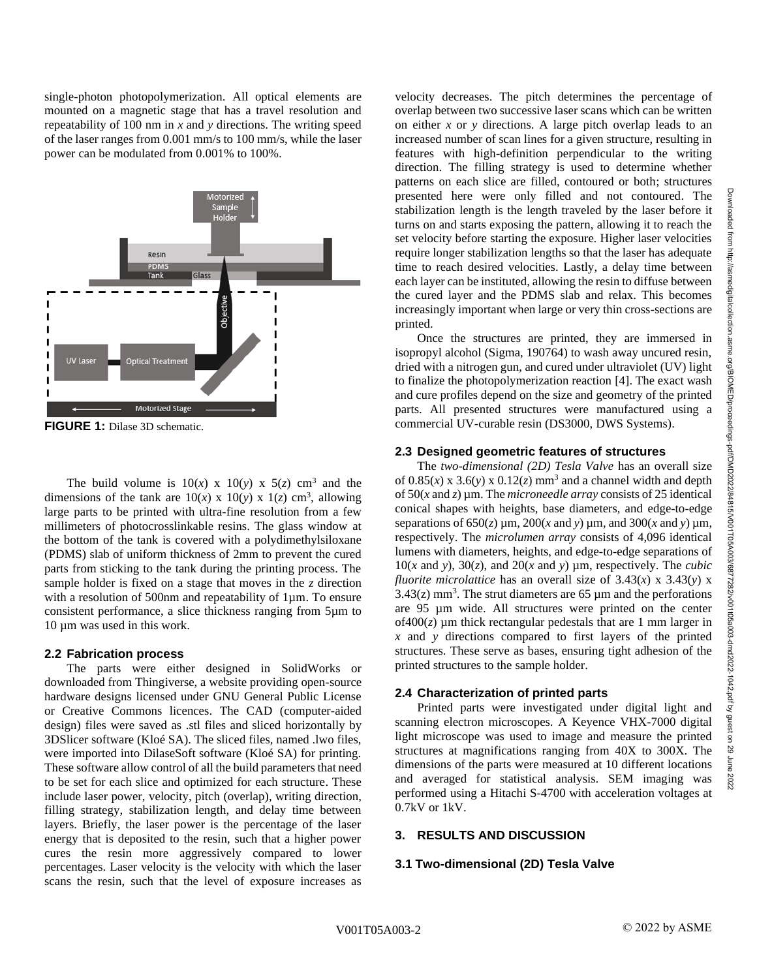Downloaded from http://asmedigitalcollection.asme.org/BIOMED/proceedings-pdf/DMD2022/84815/V001T05A003/6877282/v001t05a003-dmd2022-1042.pdf by guest on 29 June 2022

from http://asmedigitalcollection.asme.org/BIOMED/proceedings-pdf/DMD2022/84815/V0011056/003/6877282/V001105a003-dmd5022-1042.pdf by guest on 29 June

2022

**Downloaded** 

single-photon photopolymerization. All optical elements are mounted on a magnetic stage that has a travel resolution and repeatability of 100 nm in *x* and *y* directions. The writing speed of the laser ranges from 0.001 mm/s to 100 mm/s, while the laser power can be modulated from 0.001% to 100%.



**FIGURE 1:** Dilase 3D schematic.

The build volume is  $10(x) \times 10(y) \times 5(z)$  cm<sup>3</sup> and the dimensions of the tank are  $10(x) \times 10(y) \times 1(z)$  cm<sup>3</sup>, allowing large parts to be printed with ultra-fine resolution from a few millimeters of photocrosslinkable resins. The glass window at the bottom of the tank is covered with a polydimethylsiloxane (PDMS) slab of uniform thickness of 2mm to prevent the cured parts from sticking to the tank during the printing process. The sample holder is fixed on a stage that moves in the *z* direction with a resolution of 500nm and repeatability of 1µm. To ensure consistent performance, a slice thickness ranging from 5µm to 10 µm was used in this work.

### **2.2 Fabrication process**

The parts were either designed in SolidWorks or downloaded from Thingiverse, a website providing open-source hardware designs licensed under GNU General Public License or Creative Commons licences. The CAD (computer-aided design) files were saved as .stl files and sliced horizontally by 3DSlicer software (Kloé SA). The sliced files, named .lwo files, were imported into DilaseSoft software (Kloé SA) for printing. These software allow control of all the build parameters that need to be set for each slice and optimized for each structure. These include laser power, velocity, pitch (overlap), writing direction, filling strategy, stabilization length, and delay time between layers. Briefly, the laser power is the percentage of the laser energy that is deposited to the resin, such that a higher power cures the resin more aggressively compared to lower percentages. Laser velocity is the velocity with which the laser scans the resin, such that the level of exposure increases as

velocity decreases. The pitch determines the percentage of overlap between two successive laser scans which can be written on either *x* or *y* directions. A large pitch overlap leads to an increased number of scan lines for a given structure, resulting in features with high-definition perpendicular to the writing direction. The filling strategy is used to determine whether patterns on each slice are filled, contoured or both; structures presented here were only filled and not contoured. The stabilization length is the length traveled by the laser before it turns on and starts exposing the pattern, allowing it to reach the set velocity before starting the exposure. Higher laser velocities require longer stabilization lengths so that the laser has adequate time to reach desired velocities. Lastly, a delay time between each layer can be instituted, allowing the resin to diffuse between the cured layer and the PDMS slab and relax. This becomes increasingly important when large or very thin cross-sections are printed.

Once the structures are printed, they are immersed in isopropyl alcohol (Sigma, 190764) to wash away uncured resin, dried with a nitrogen gun, and cured under ultraviolet (UV) light to finalize the photopolymerization reaction [4]. The exact wash and cure profiles depend on the size and geometry of the printed parts. All presented structures were manufactured using a commercial UV-curable resin (DS3000, DWS Systems).

## **2.3 Designed geometric features of structures**

The *two-dimensional (2D) Tesla Valve* has an overall size of  $0.85(x)$  x  $3.6(y)$  x  $0.12(z)$  mm<sup>3</sup> and a channel width and depth of 50(*x* and *z*) µm. The *microneedle array* consists of 25 identical conical shapes with heights, base diameters, and edge-to-edge separations of  $650(z)$   $\mu$ m,  $200(x$  and *y*)  $\mu$ m, and  $300(x$  and *y*)  $\mu$ m, respectively. The *microlumen array* consists of 4,096 identical lumens with diameters, heights, and edge-to-edge separations of 10(*x* and *y*), 30(*z*), and 20(*x* and *y*)  $\mu$ m, respectively. The *cubic fluorite microlattice* has an overall size of  $3.43(x) \times 3.43(y) \times$  $3.43(z)$  mm<sup>3</sup>. The strut diameters are 65  $\mu$ m and the perforations are 95 µm wide. All structures were printed on the center  $of 400(z)$  µm thick rectangular pedestals that are 1 mm larger in *x* and *y* directions compared to first layers of the printed structures. These serve as bases, ensuring tight adhesion of the printed structures to the sample holder.

# **2.4 Characterization of printed parts**

Printed parts were investigated under digital light and scanning electron microscopes. A Keyence VHX-7000 digital light microscope was used to image and measure the printed structures at magnifications ranging from 40X to 300X. The dimensions of the parts were measured at 10 different locations and averaged for statistical analysis. SEM imaging was performed using a Hitachi S-4700 with acceleration voltages at 0.7kV or 1kV.

# **3. RESULTS AND DISCUSSION**

# **3.1 Two-dimensional (2D) Tesla Valve**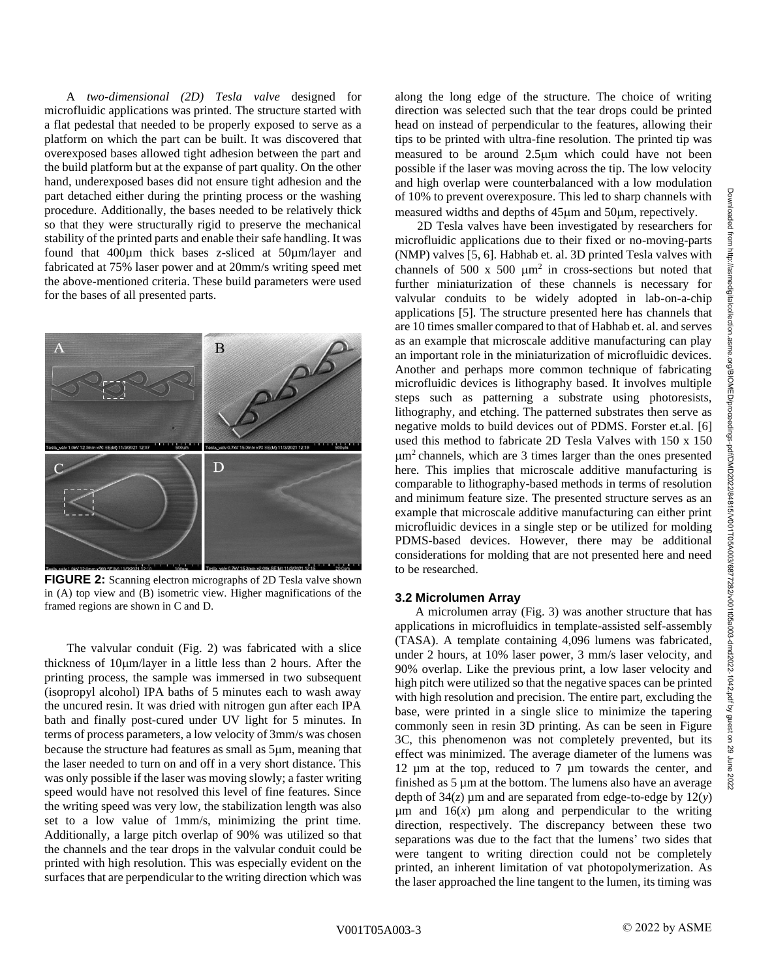A *two-dimensional (2D) Tesla valve* designed for microfluidic applications was printed. The structure started with a flat pedestal that needed to be properly exposed to serve as a platform on which the part can be built. It was discovered that overexposed bases allowed tight adhesion between the part and the build platform but at the expanse of part quality. On the other hand, underexposed bases did not ensure tight adhesion and the part detached either during the printing process or the washing procedure. Additionally, the bases needed to be relatively thick so that they were structurally rigid to preserve the mechanical stability of the printed parts and enable their safe handling. It was found that 400µm thick bases z-sliced at 50µm/layer and fabricated at 75% laser power and at 20mm/s writing speed met the above-mentioned criteria. These build parameters were used for the bases of all presented parts.



**FIGURE 2:** Scanning electron micrographs of 2D Tesla valve shown in (A) top view and (B) isometric view. Higher magnifications of the framed regions are shown in C and D.

The valvular conduit (Fig. 2) was fabricated with a slice thickness of  $10 \mu m/l$  aver in a little less than 2 hours. After the printing process, the sample was immersed in two subsequent (isopropyl alcohol) IPA baths of 5 minutes each to wash away the uncured resin. It was dried with nitrogen gun after each IPA bath and finally post-cured under UV light for 5 minutes. In terms of process parameters, a low velocity of 3mm/s was chosen because the structure had features as small as  $5\mu$ m, meaning that the laser needed to turn on and off in a very short distance. This was only possible if the laser was moving slowly; a faster writing speed would have not resolved this level of fine features. Since the writing speed was very low, the stabilization length was also set to a low value of 1mm/s, minimizing the print time. Additionally, a large pitch overlap of 90% was utilized so that the channels and the tear drops in the valvular conduit could be printed with high resolution. This was especially evident on the surfaces that are perpendicular to the writing direction which was

along the long edge of the structure. The choice of writing direction was selected such that the tear drops could be printed head on instead of perpendicular to the features, allowing their tips to be printed with ultra-fine resolution. The printed tip was measured to be around  $2.5\mu m$  which could have not been possible if the laser was moving across the tip. The low velocity and high overlap were counterbalanced with a low modulation of 10% to prevent overexposure. This led to sharp channels with measured widths and depths of  $45\mu$ m and  $50\mu$ m, repectively.

2D Tesla valves have been investigated by researchers for microfluidic applications due to their fixed or no-moving-parts (NMP) valves [5, 6]. Habhab et. al. 3D printed Tesla valves with channels of 500 x 500  $\mu$ m<sup>2</sup> in cross-sections but noted that further miniaturization of these channels is necessary for valvular conduits to be widely adopted in lab-on-a-chip applications [5]. The structure presented here has channels that are 10 times smaller compared to that of Habhab et. al. and serves as an example that microscale additive manufacturing can play an important role in the miniaturization of microfluidic devices. Another and perhaps more common technique of fabricating microfluidic devices is lithography based. It involves multiple steps such as patterning a substrate using photoresists, lithography, and etching. The patterned substrates then serve as negative molds to build devices out of PDMS. Forster et.al. [6] used this method to fabricate 2D Tesla Valves with 150 x 150  $\mu$ m<sup>2</sup> channels, which are 3 times larger than the ones presented here. This implies that microscale additive manufacturing is comparable to lithography-based methods in terms of resolution and minimum feature size. The presented structure serves as an example that microscale additive manufacturing can either print microfluidic devices in a single step or be utilized for molding PDMS-based devices. However, there may be additional considerations for molding that are not presented here and need to be researched.

#### **3.2 Microlumen Array**

A microlumen array (Fig. 3) was another structure that has applications in microfluidics in template-assisted self-assembly (TASA). A template containing 4,096 lumens was fabricated, under 2 hours, at 10% laser power, 3 mm/s laser velocity, and 90% overlap. Like the previous print, a low laser velocity and high pitch were utilized so that the negative spaces can be printed with high resolution and precision. The entire part, excluding the base, were printed in a single slice to minimize the tapering commonly seen in resin 3D printing. As can be seen in Figure 3C, this phenomenon was not completely prevented, but its effect was minimized. The average diameter of the lumens was 12 µm at the top, reduced to 7 µm towards the center, and finished as 5 µm at the bottom. The lumens also have an average depth of  $34(z)$  µm and are separated from edge-to-edge by  $12(y)$  $\mu$ m and 16(*x*)  $\mu$ m along and perpendicular to the writing direction, respectively. The discrepancy between these two separations was due to the fact that the lumens' two sides that were tangent to writing direction could not be completely printed, an inherent limitation of vat photopolymerization. As the laser approached the line tangent to the lumen, its timing was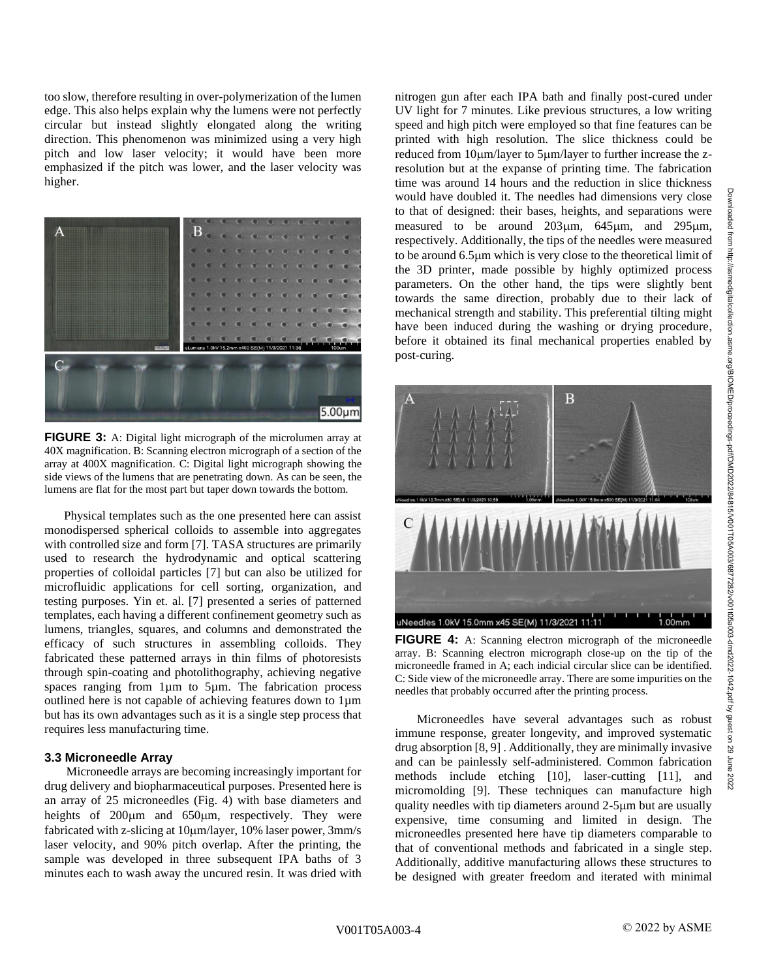too slow, therefore resulting in over-polymerization of the lumen edge. This also helps explain why the lumens were not perfectly circular but instead slightly elongated along the writing direction. This phenomenon was minimized using a very high pitch and low laser velocity; it would have been more emphasized if the pitch was lower, and the laser velocity was higher.



**FIGURE 3:** A: Digital light micrograph of the microlumen array at 40X magnification. B: Scanning electron micrograph of a section of the array at 400X magnification. C: Digital light micrograph showing the side views of the lumens that are penetrating down. As can be seen, the lumens are flat for the most part but taper down towards the bottom.

 Physical templates such as the one presented here can assist monodispersed spherical colloids to assemble into aggregates with controlled size and form [7]. TASA structures are primarily used to research the hydrodynamic and optical scattering properties of colloidal particles [7] but can also be utilized for microfluidic applications for cell sorting, organization, and testing purposes. Yin et. al. [7] presented a series of patterned templates, each having a different confinement geometry such as lumens, triangles, squares, and columns and demonstrated the efficacy of such structures in assembling colloids. They fabricated these patterned arrays in thin films of photoresists through spin-coating and photolithography, achieving negative spaces ranging from 1µm to 5µm. The fabrication process outlined here is not capable of achieving features down to 1µm but has its own advantages such as it is a single step process that requires less manufacturing time.

#### **3.3 Microneedle Array**

 Microneedle arrays are becoming increasingly important for drug delivery and biopharmaceutical purposes. Presented here is an array of 25 microneedles (Fig. 4) with base diameters and heights of  $200 \mu m$  and  $650 \mu m$ , respectively. They were fabricated with z-slicing at 10µm/layer, 10% laser power, 3mm/s laser velocity, and 90% pitch overlap. After the printing, the sample was developed in three subsequent IPA baths of 3 minutes each to wash away the uncured resin. It was dried with nitrogen gun after each IPA bath and finally post-cured under UV light for 7 minutes. Like previous structures, a low writing speed and high pitch were employed so that fine features can be printed with high resolution. The slice thickness could be reduced from 10µm/layer to 5µm/layer to further increase the zresolution but at the expanse of printing time. The fabrication time was around 14 hours and the reduction in slice thickness would have doubled it. The needles had dimensions very close to that of designed: their bases, heights, and separations were measured to be around  $203\mu m$ ,  $645\mu m$ , and  $295\mu m$ , respectively. Additionally, the tips of the needles were measured to be around 6.5m which is very close to the theoretical limit of the 3D printer, made possible by highly optimized process parameters. On the other hand, the tips were slightly bent towards the same direction, probably due to their lack of mechanical strength and stability. This preferential tilting might have been induced during the washing or drying procedure, before it obtained its final mechanical properties enabled by post-curing.



**FIGURE 4:** A: Scanning electron micrograph of the microneedle array. B: Scanning electron micrograph close-up on the tip of the microneedle framed in A; each indicial circular slice can be identified. C: Side view of the microneedle array. There are some impurities on the needles that probably occurred after the printing process.

 Microneedles have several advantages such as robust immune response, greater longevity, and improved systematic drug absorption [8, 9] . Additionally, they are minimally invasive and can be painlessly self-administered. Common fabrication methods include etching [10], laser-cutting [11], and micromolding [9]. These techniques can manufacture high quality needles with tip diameters around 2-5µm but are usually expensive, time consuming and limited in design. The microneedles presented here have tip diameters comparable to that of conventional methods and fabricated in a single step. Additionally, additive manufacturing allows these structures to be designed with greater freedom and iterated with minimal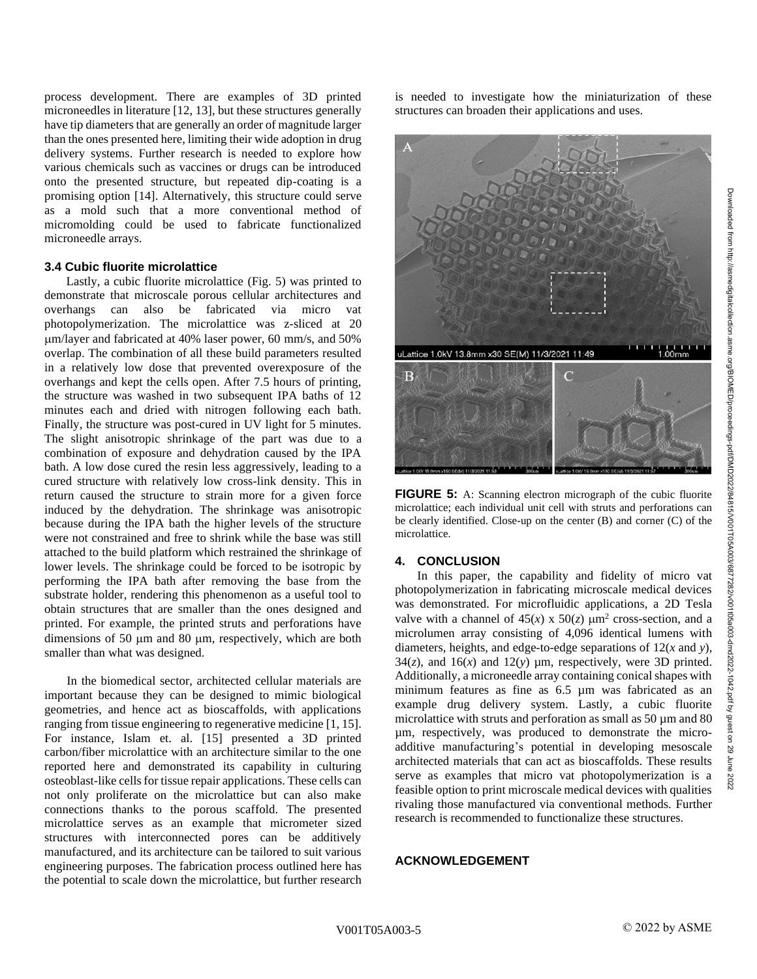process development. There are examples of 3D printed microneedles in literature [12, 13], but these structures generally have tip diameters that are generally an order of magnitude larger than the ones presented here, limiting their wide adoption in drug delivery systems. Further research is needed to explore how various chemicals such as vaccines or drugs can be introduced onto the presented structure, but repeated dip-coating is a promising option [14]. Alternatively, this structure could serve as a mold such that a more conventional method of micromolding could be used to fabricate functionalized microneedle arrays.

#### **3.4 Cubic fluorite microlattice**

 Lastly, a cubic fluorite microlattice (Fig. 5) was printed to demonstrate that microscale porous cellular architectures and overhangs can also be fabricated via micro vat photopolymerization. The microlattice was z-sliced at 20 m/layer and fabricated at 40% laser power, 60 mm/s, and 50% overlap. The combination of all these build parameters resulted in a relatively low dose that prevented overexposure of the overhangs and kept the cells open. After 7.5 hours of printing, the structure was washed in two subsequent IPA baths of 12 minutes each and dried with nitrogen following each bath. Finally, the structure was post-cured in UV light for 5 minutes. The slight anisotropic shrinkage of the part was due to a combination of exposure and dehydration caused by the IPA bath. A low dose cured the resin less aggressively, leading to a cured structure with relatively low cross-link density. This in return caused the structure to strain more for a given force induced by the dehydration. The shrinkage was anisotropic because during the IPA bath the higher levels of the structure were not constrained and free to shrink while the base was still attached to the build platform which restrained the shrinkage of lower levels. The shrinkage could be forced to be isotropic by performing the IPA bath after removing the base from the substrate holder, rendering this phenomenon as a useful tool to obtain structures that are smaller than the ones designed and printed. For example, the printed struts and perforations have dimensions of 50  $\mu$ m and 80  $\mu$ m, respectively, which are both smaller than what was designed.

In the biomedical sector, architected cellular materials are important because they can be designed to mimic biological geometries, and hence act as bioscaffolds, with applications ranging from tissue engineering to regenerative medicine [1, 15]. For instance, Islam et. al. [15] presented a 3D printed carbon/fiber microlattice with an architecture similar to the one reported here and demonstrated its capability in culturing osteoblast-like cells for tissue repair applications. These cells can not only proliferate on the microlattice but can also make connections thanks to the porous scaffold. The presented microlattice serves as an example that micrometer sized structures with interconnected pores can be additively manufactured, and its architecture can be tailored to suit various engineering purposes. The fabrication process outlined here has the potential to scale down the microlattice, but further research is needed to investigate how the miniaturization of these structures can broaden their applications and uses.



**FIGURE 5:** A: Scanning electron micrograph of the cubic fluorite microlattice; each individual unit cell with struts and perforations can be clearly identified. Close-up on the center (B) and corner (C) of the microlattice.

### **4. CONCLUSION**

In this paper, the capability and fidelity of micro vat photopolymerization in fabricating microscale medical devices was demonstrated. For microfluidic applications, a 2D Tesla valve with a channel of  $45(x) \times 50(z) \mu m^2$  cross-section, and a microlumen array consisting of 4,096 identical lumens with diameters, heights, and edge-to-edge separations of 12(*x* and *y*),  $34(z)$ , and  $16(x)$  and  $12(y)$  µm, respectively, were 3D printed. Additionally, a microneedle array containing conical shapes with minimum features as fine as 6.5 µm was fabricated as an example drug delivery system. Lastly, a cubic fluorite microlattice with struts and perforation as small as  $50 \mu m$  and  $80 \mu m$ µm, respectively, was produced to demonstrate the microadditive manufacturing's potential in developing mesoscale architected materials that can act as bioscaffolds. These results serve as examples that micro vat photopolymerization is a feasible option to print microscale medical devices with qualities rivaling those manufactured via conventional methods. Further research is recommended to functionalize these structures.

### **ACKNOWLEDGEMENT**